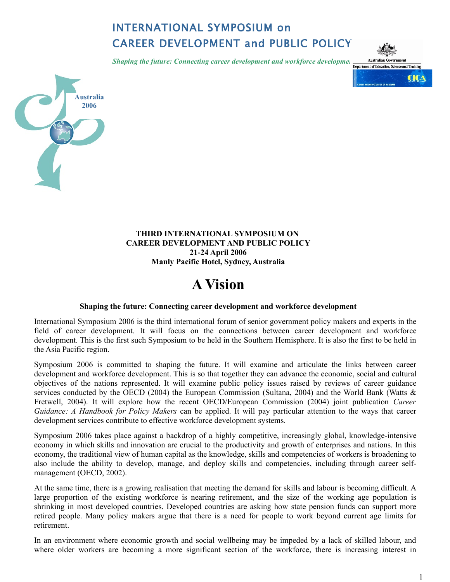# INTERNATIONAL SYMPOSIUM on CAREER DEVELOPMENT and PUBLIC POLICY

*Shaping the future: Connecting career development and workforce developmen*  $\frac{\text{Australian Government of Education, See}}{\text{Dopartment of Education, See}}}$ 





# **THIRD INTERNATIONAL SYMPOSIUM ON CAREER DEVELOPMENT AND PUBLIC POLICY 21-24 April 2006 Manly Pacific Hotel, Sydney, Australia**

# **A Vision**

#### **Shaping the future: Connecting career development and workforce development**

International Symposium 2006 is the third international forum of senior government policy makers and experts in the field of career development. It will focus on the connections between career development and workforce development. This is the first such Symposium to be held in the Southern Hemisphere. It is also the first to be held in the Asia Pacific region.

Symposium 2006 is committed to shaping the future. It will examine and articulate the links between career development and workforce development. This is so that together they can advance the economic, social and cultural objectives of the nations represented. It will examine public policy issues raised by reviews of career guidance services conducted by the OECD (2004) the European Commission (Sultana, 2004) and the World Bank (Watts  $\&$ Fretwell, 2004). It will explore how the recent OECD/European Commission (2004) joint publication *Career Guidance: A Handbook for Policy Makers* can be applied. It will pay particular attention to the ways that career development services contribute to effective workforce development systems.

Symposium 2006 takes place against a backdrop of a highly competitive, increasingly global, knowledge-intensive economy in which skills and innovation are crucial to the productivity and growth of enterprises and nations. In this economy, the traditional view of human capital as the knowledge, skills and competencies of workers is broadening to also include the ability to develop, manage, and deploy skills and competencies, including through career selfmanagement (OECD, 2002).

At the same time, there is a growing realisation that meeting the demand for skills and labour is becoming difficult. A large proportion of the existing workforce is nearing retirement, and the size of the working age population is shrinking in most developed countries. Developed countries are asking how state pension funds can support more retired people. Many policy makers argue that there is a need for people to work beyond current age limits for retirement.

In an environment where economic growth and social wellbeing may be impeded by a lack of skilled labour, and where older workers are becoming a more significant section of the workforce, there is increasing interest in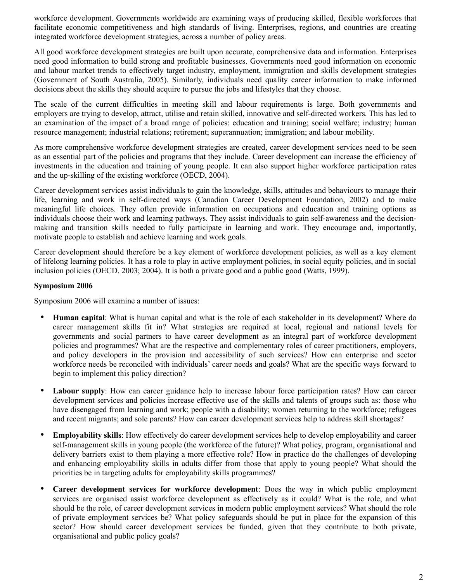workforce development. Governments worldwide are examining ways of producing skilled, flexible workforces that facilitate economic competitiveness and high standards of living. Enterprises, regions, and countries are creating integrated workforce development strategies, across a number of policy areas.

All good workforce development strategies are built upon accurate, comprehensive data and information. Enterprises need good information to build strong and profitable businesses. Governments need good information on economic and labour market trends to effectively target industry, employment, immigration and skills development strategies (Government of South Australia, 2005). Similarly, individuals need quality career information to make informed decisions about the skills they should acquire to pursue the jobs and lifestyles that they choose.

The scale of the current difficulties in meeting skill and labour requirements is large. Both governments and employers are trying to develop, attract, utilise and retain skilled, innovative and self-directed workers. This has led to an examination of the impact of a broad range of policies: education and training; social welfare; industry; human resource management; industrial relations; retirement; superannuation; immigration; and labour mobility.

As more comprehensive workforce development strategies are created, career development services need to be seen as an essential part of the policies and programs that they include. Career development can increase the efficiency of investments in the education and training of young people. It can also support higher workforce participation rates and the up-skilling of the existing workforce (OECD, 2004).

Career development services assist individuals to gain the knowledge, skills, attitudes and behaviours to manage their life, learning and work in self-directed ways (Canadian Career Development Foundation, 2002) and to make meaningful life choices. They often provide information on occupations and education and training options as individuals choose their work and learning pathways. They assist individuals to gain self-awareness and the decisionmaking and transition skills needed to fully participate in learning and work. They encourage and, importantly, motivate people to establish and achieve learning and work goals.

Career development should therefore be a key element of workforce development policies, as well as a key element of lifelong learning policies. It has a role to play in active employment policies, in social equity policies, and in social inclusion policies (OECD, 2003; 2004). It is both a private good and a public good (Watts, 1999).

## **Symposium 2006**

Symposium 2006 will examine a number of issues:

- **Human capital**: What is human capital and what is the role of each stakeholder in its development? Where do career management skills fit in? What strategies are required at local, regional and national levels for governments and social partners to have career development as an integral part of workforce development policies and programmes? What are the respective and complementary roles of career practitioners, employers, and policy developers in the provision and accessibility of such services? How can enterprise and sector workforce needs be reconciled with individuals' career needs and goals? What are the specific ways forward to begin to implement this policy direction?
- **Labour supply**: How can career guidance help to increase labour force participation rates? How can career development services and policies increase effective use of the skills and talents of groups such as: those who have disengaged from learning and work; people with a disability; women returning to the workforce; refugees and recent migrants; and sole parents? How can career development services help to address skill shortages?
- **Employability skills**: How effectively do career development services help to develop employability and career self-management skills in young people (the workforce of the future)? What policy, program, organisational and delivery barriers exist to them playing a more effective role? How in practice do the challenges of developing and enhancing employability skills in adults differ from those that apply to young people? What should the priorities be in targeting adults for employability skills programmes?
- **Career development services for workforce development**: Does the way in which public employment services are organised assist workforce development as effectively as it could? What is the role, and what should be the role, of career development services in modern public employment services? What should the role of private employment services be? What policy safeguards should be put in place for the expansion of this sector? How should career development services be funded, given that they contribute to both private, organisational and public policy goals?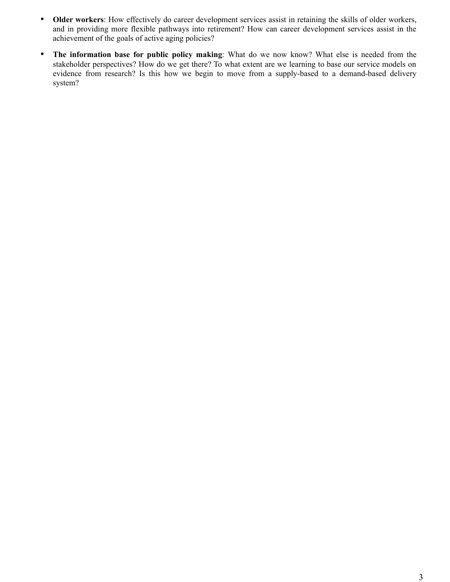- **Older workers**: How effectively do career development services assist in retaining the skills of older workers, and in providing more flexible pathways into retirement? How can career development services assist in the achievement of the goals of active aging policies?
- **The information base for public policy making**: What do we now know? What else is needed from the stakeholder perspectives? How do we get there? To what extent are we learning to base our service models on evidence from research? Is this how we begin to move from a supply-based to a demand-based delivery system?